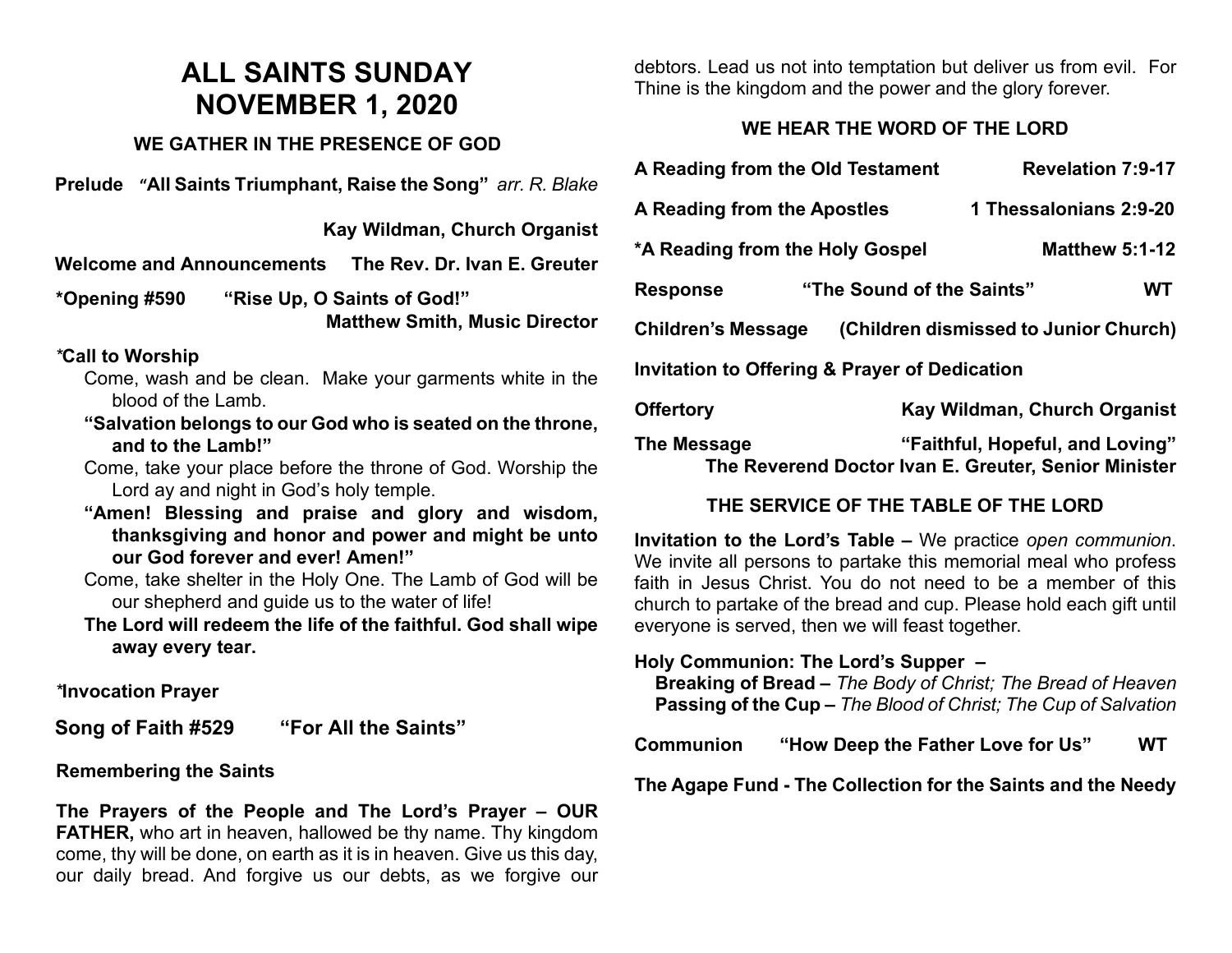# **ALL SAINTS SUNDAY NOVEMBER 1, 2020**

#### **WE GATHER IN THE PRESENCE OF GOD**

**Prelude "All Saints Triumphant, Raise the Song"** *arr. R. Blake*

 **Kay Wildman, Church Organist**

**Welcome and Announcements The Rev. Dr. Ivan E. Greuter**

**\*Opening #590 "Rise Up, O Saints of God!" Matthew Smith, Music Director** 

#### *\****Call to Worship**

- Come, wash and be clean. Make your garments white in the blood of the Lamb.
- **"Salvation belongs to our God who is seated on the throne, and to the Lamb!"**
- Come, take your place before the throne of God. Worship the Lord ay and night in God's holy temple.
- **"Amen! Blessing and praise and glory and wisdom, thanksgiving and honor and power and might be unto our God forever and ever! Amen!"**
- Come, take shelter in the Holy One. The Lamb of God will be our shepherd and guide us to the water of life!

**The Lord will redeem the life of the faithful. God shall wipe away every tear.**

*\****Invocation Prayer** 

**Song of Faith #529 "For All the Saints"**

#### **Remembering the Saints**

**The Prayers of the People and The Lord's Prayer – OUR FATHER,** who art in heaven, hallowed be thy name. Thy kingdom come, thy will be done, on earth as it is in heaven. Give us this day, our daily bread. And forgive us our debts, as we forgive our debtors. Lead us not into temptation but deliver us from evil. For Thine is the kingdom and the power and the glory forever.

## **WE HEAR THE WORD OF THE LORD**

| A Reading from the Old Testament                                   |                           | <b>Revelation 7:9-17</b>        |
|--------------------------------------------------------------------|---------------------------|---------------------------------|
| A Reading from the Apostles                                        |                           | 1 Thessalonians 2:9-20          |
| *A Reading from the Holy Gospel                                    |                           | <b>Matthew 5:1-12</b>           |
| <b>Response</b>                                                    | "The Sound of the Saints" | WТ                              |
| (Children dismissed to Junior Church)<br><b>Children's Message</b> |                           |                                 |
| <b>Invitation to Offering &amp; Prayer of Dedication</b>           |                           |                                 |
| <b>Offertory</b>                                                   |                           | Kay Wildman, Church Organist    |
| The Message                                                        |                           | "Faithful, Hopeful, and Loving" |

#### **THE SERVICE OF THE TABLE OF THE LORD**

**The Reverend Doctor Ivan E. Greuter, Senior Minister**

**Invitation to the Lord's Table –** We practice *open communion*. We invite all persons to partake this memorial meal who profess faith in Jesus Christ. You do not need to be a member of this church to partake of the bread and cup. Please hold each gift until everyone is served, then we will feast together.

#### **Holy Communion: The Lord's Supper –**

 **Breaking of Bread –** *The Body of Christ; The Bread of Heaven*  **Passing of the Cup –** *The Blood of Christ; The Cup of Salvation*

**Communion "How Deep the Father Love for Us" WT**

**The Agape Fund - The Collection for the Saints and the Needy**